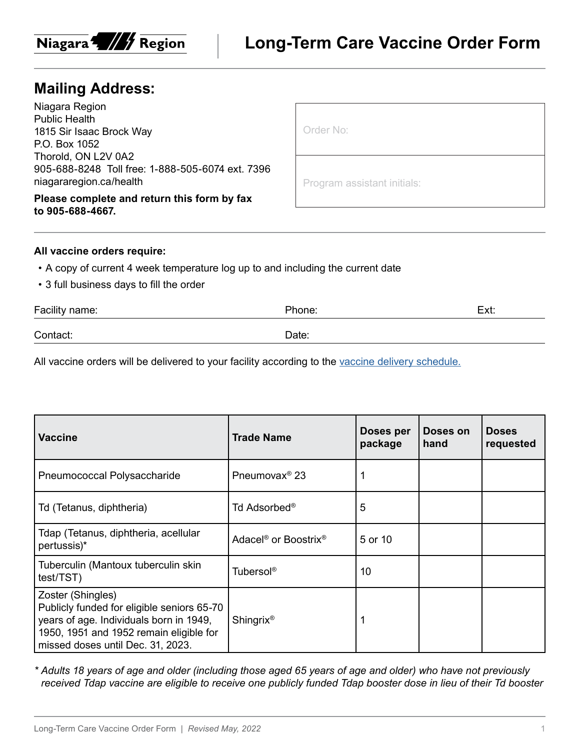

## **Mailing Address:**

Niagara Region Public Health 1815 Sir Isaac Brock Way P.O. Box 1052 Thorold, ON L2V 0A2 905-688-8248 Toll free: 1-888-505-6074 ext. 7396 niagararegion.ca/health

**Please complete and return this form by fax to 905-688-4667.**

Program assistant initials:

## **All vaccine orders require:**

- A copy of current 4 week temperature log up to and including the current date
- 3 full business days to fill the order

| Facility name: | Phone: | Ext: |
|----------------|--------|------|
| Contact:       | Date:  |      |

All vaccine orders will be delivered to your facility according to the [vaccine delivery schedule.](https://www.niagararegion.ca/health/professionals/vaccine/vaccine-schedule.aspx)

| <b>Vaccine</b>                                                                                                                                                                             | <b>Trade Name</b>                            | Doses per<br>package | Doses on<br>hand | <b>Doses</b><br>requested |
|--------------------------------------------------------------------------------------------------------------------------------------------------------------------------------------------|----------------------------------------------|----------------------|------------------|---------------------------|
| Pneumococcal Polysaccharide                                                                                                                                                                | Pneumovax <sup>®</sup> 23                    |                      |                  |                           |
| Td (Tetanus, diphtheria)                                                                                                                                                                   | Td Adsorbed <sup>®</sup>                     | 5                    |                  |                           |
| Tdap (Tetanus, diphtheria, acellular<br>pertussis)*                                                                                                                                        | Adacel <sup>®</sup> or Boostrix <sup>®</sup> | 5 or 10              |                  |                           |
| Tuberculin (Mantoux tuberculin skin<br>test/TST)                                                                                                                                           | Tubersol <sup>®</sup>                        | 10                   |                  |                           |
| Zoster (Shingles)<br>Publicly funded for eligible seniors 65-70<br>years of age. Individuals born in 1949,<br>1950, 1951 and 1952 remain eligible for<br>missed doses until Dec. 31, 2023. | <b>Shingrix<sup>®</sup></b>                  |                      |                  |                           |

*\* Adults 18 years of age and older (including those aged 65 years of age and older) who have not previously received Tdap vaccine are eligible to receive one publicly funded Tdap booster dose in lieu of their Td booster*